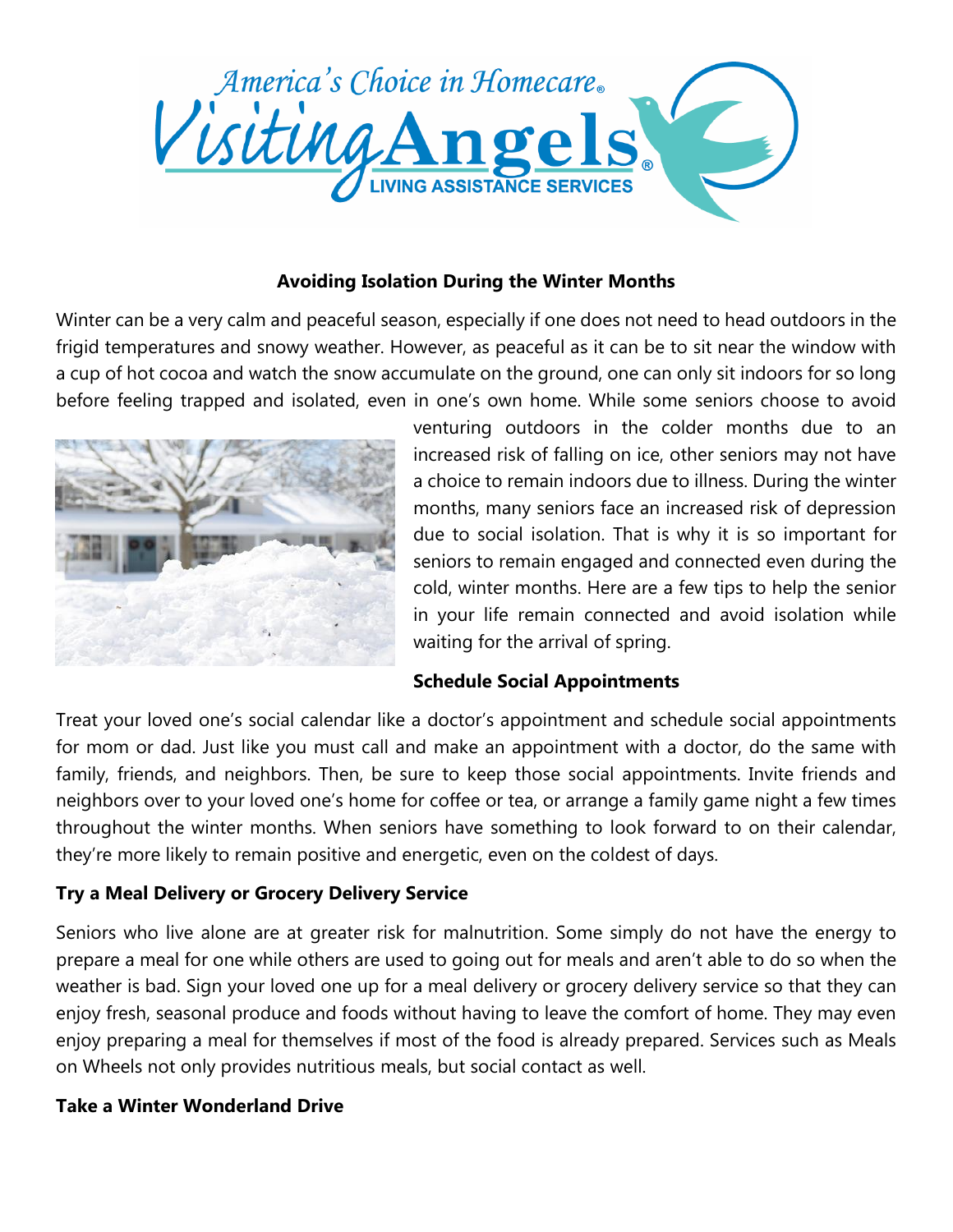

### **Avoiding Isolation During the Winter Months**

Winter can be a very calm and peaceful season, especially if one does not need to head outdoors in the frigid temperatures and snowy weather. However, as peaceful as it can be to sit near the window with a cup of hot cocoa and watch the snow accumulate on the ground, one can only sit indoors for so long before feeling trapped and isolated, even in one's own home. While some seniors choose to avoid



venturing outdoors in the colder months due to an increased risk of falling on ice, other seniors may not have a choice to remain indoors due to illness. During the winter months, many seniors face an increased risk of depression due to social isolation. That is why it is so important for seniors to remain engaged and connected even during the cold, winter months. Here are a few tips to help the senior in your life remain connected and avoid isolation while waiting for the arrival of spring.

### **Schedule Social Appointments**

Treat your loved one's social calendar like a doctor's appointment and schedule social appointments for mom or dad. Just like you must call and make an appointment with a doctor, do the same with family, friends, and neighbors. Then, be sure to keep those social appointments. Invite friends and neighbors over to your loved one's home for coffee or tea, or arrange a family game night a few times throughout the winter months. When seniors have something to look forward to on their calendar, they're more likely to remain positive and energetic, even on the coldest of days.

### **Try a Meal Delivery or Grocery Delivery Service**

Seniors who live alone are at greater risk for malnutrition. Some simply do not have the energy to prepare a meal for one while others are used to going out for meals and aren't able to do so when the weather is bad. Sign your loved one up for a meal delivery or grocery delivery service so that they can enjoy fresh, seasonal produce and foods without having to leave the comfort of home. They may even enjoy preparing a meal for themselves if most of the food is already prepared. Services such as Meals on Wheels not only provides nutritious meals, but social contact as well.

### **Take a Winter Wonderland Drive**